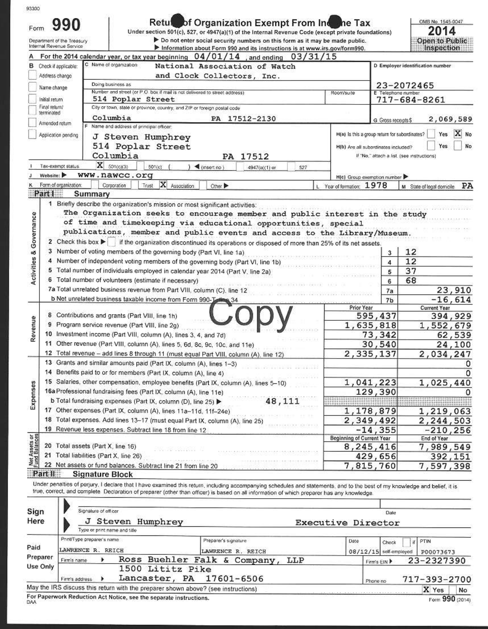|                                | 990<br>Form<br>Department of the Treasury<br>Internal Revenue Service |                                                                                                                                                                                                                                                                                                                         | Retule of Organization Exempt From Income Tax<br>Under section 501(c), 527, or 4947(a)(1) of the Internal Revenue Code (except private foundations)<br>Do not enter social security numbers on this form as it may be made public.<br>Information about Form 990 and its instructions is at www.irs.gov/form990. |                      |                                                                                      |                      | OMB No. 1545-0047<br>2014<br>Open to Public<br>Inspection                                                                     |
|--------------------------------|-----------------------------------------------------------------------|-------------------------------------------------------------------------------------------------------------------------------------------------------------------------------------------------------------------------------------------------------------------------------------------------------------------------|------------------------------------------------------------------------------------------------------------------------------------------------------------------------------------------------------------------------------------------------------------------------------------------------------------------|----------------------|--------------------------------------------------------------------------------------|----------------------|-------------------------------------------------------------------------------------------------------------------------------|
|                                |                                                                       | For the 2014 calendar year, or tax year beginning 04/01/14, and ending 03/31/15                                                                                                                                                                                                                                         |                                                                                                                                                                                                                                                                                                                  |                      |                                                                                      |                      |                                                                                                                               |
| в                              | Check if applicable:                                                  | C Name of organization                                                                                                                                                                                                                                                                                                  | National Association of Watch                                                                                                                                                                                                                                                                                    |                      |                                                                                      |                      | D Employer identification number                                                                                              |
|                                | Address change                                                        |                                                                                                                                                                                                                                                                                                                         | and Clock Collectors, Inc.                                                                                                                                                                                                                                                                                       |                      |                                                                                      |                      |                                                                                                                               |
|                                | Name change                                                           | Doing business as<br>Number and street (or P.O. box if mail is not delivered to street address).                                                                                                                                                                                                                        |                                                                                                                                                                                                                                                                                                                  |                      |                                                                                      |                      | 23-2072465                                                                                                                    |
|                                | Initial return                                                        | 514 Poplar Street                                                                                                                                                                                                                                                                                                       |                                                                                                                                                                                                                                                                                                                  |                      | Room/suite                                                                           | E Telephone number   | 717-684-8261                                                                                                                  |
|                                | Final return/                                                         | City or town, state or province, country, and ZIP or foreign postal code                                                                                                                                                                                                                                                |                                                                                                                                                                                                                                                                                                                  |                      |                                                                                      |                      |                                                                                                                               |
|                                | terminated                                                            | Columbia                                                                                                                                                                                                                                                                                                                | PA 17512-2130                                                                                                                                                                                                                                                                                                    |                      |                                                                                      | G Gross receipts \$  | 2,069,589                                                                                                                     |
|                                | Amended return                                                        | F Name and address of principal officer:                                                                                                                                                                                                                                                                                |                                                                                                                                                                                                                                                                                                                  |                      |                                                                                      |                      |                                                                                                                               |
|                                | Application pending                                                   | J Steven Humphrey<br>514 Poplar Street<br>Columbia                                                                                                                                                                                                                                                                      | PA 17512                                                                                                                                                                                                                                                                                                         |                      | H(a) is this a group return for subordinates?<br>H(b) Are all subordinates included? |                      | Yes<br>Yes<br>No<br>If "No," attach a list. (see instructions)                                                                |
|                                | Tax-exempt status.                                                    | $\mathbf{X}$ 501(c)(3)<br>501(c)                                                                                                                                                                                                                                                                                        | « (insert no)                                                                                                                                                                                                                                                                                                    | 4947(a)(1) or<br>527 |                                                                                      |                      |                                                                                                                               |
|                                | Website:                                                              | www.nawcc.org                                                                                                                                                                                                                                                                                                           |                                                                                                                                                                                                                                                                                                                  |                      | H(c) Group exemption number                                                          |                      |                                                                                                                               |
|                                | Form of organization:<br>Part I<br>Summary                            | X Association<br>Corporation<br>Trust                                                                                                                                                                                                                                                                                   | Cmer ▶                                                                                                                                                                                                                                                                                                           |                      | Year of formation: 1978                                                              |                      | PA<br>M State of legal domicile.                                                                                              |
| Activities & Governance        |                                                                       | 3 Number of voting members of the governing body (Part VI, line 1a)<br>4 Number of independent voting members of the governing body (Part VI, line 1b)<br>5 Total number of individuals employed in calendar year 2014 (Part V, line 2a)                                                                                |                                                                                                                                                                                                                                                                                                                  |                      |                                                                                      | 3<br>4               | 12<br>12                                                                                                                      |
|                                |                                                                       |                                                                                                                                                                                                                                                                                                                         |                                                                                                                                                                                                                                                                                                                  |                      |                                                                                      |                      |                                                                                                                               |
|                                |                                                                       |                                                                                                                                                                                                                                                                                                                         |                                                                                                                                                                                                                                                                                                                  |                      |                                                                                      | 5                    | 37                                                                                                                            |
|                                |                                                                       | 6 Total number of volunteers (estimate if necessary)                                                                                                                                                                                                                                                                    |                                                                                                                                                                                                                                                                                                                  | Petrus Province Rat  |                                                                                      | 6                    | 68                                                                                                                            |
|                                |                                                                       | 7a Total unrelated business revenue from Part VIII, column (C), line 12                                                                                                                                                                                                                                                 |                                                                                                                                                                                                                                                                                                                  |                      |                                                                                      | 7a                   |                                                                                                                               |
|                                |                                                                       | b Net unrelated business taxable income from Form 990-Toting 34                                                                                                                                                                                                                                                         |                                                                                                                                                                                                                                                                                                                  |                      |                                                                                      | 7 <sub>b</sub>       |                                                                                                                               |
|                                |                                                                       |                                                                                                                                                                                                                                                                                                                         |                                                                                                                                                                                                                                                                                                                  |                      | Prior Year                                                                           |                      | <b>Current Year</b>                                                                                                           |
|                                |                                                                       | 8 Contributions and grants (Part VIII, line 1h)                                                                                                                                                                                                                                                                         |                                                                                                                                                                                                                                                                                                                  |                      |                                                                                      | 595,437              |                                                                                                                               |
|                                |                                                                       | 9 Program service revenue (Part VIII, line 2g)                                                                                                                                                                                                                                                                          |                                                                                                                                                                                                                                                                                                                  |                      |                                                                                      | 1,635,818            |                                                                                                                               |
|                                |                                                                       | 10 Investment income (Part VIII, column (A), lines 3, 4, and 7d)                                                                                                                                                                                                                                                        |                                                                                                                                                                                                                                                                                                                  |                      |                                                                                      | 73,342               |                                                                                                                               |
|                                |                                                                       | 11 Other revenue (Part VIII, column (A), lines 5, 6d, 8c, 9c, 10c, and 11e)                                                                                                                                                                                                                                             |                                                                                                                                                                                                                                                                                                                  |                      |                                                                                      | 30,540               |                                                                                                                               |
|                                |                                                                       | 12 Total revenue - add lines 8 through 11 (must equal Part VIII, column (A), line 12)                                                                                                                                                                                                                                   |                                                                                                                                                                                                                                                                                                                  |                      |                                                                                      | 2,335,137            |                                                                                                                               |
|                                |                                                                       | 13 Grants and similar amounts paid (Part IX, column (A), lines 1-3)                                                                                                                                                                                                                                                     |                                                                                                                                                                                                                                                                                                                  |                      |                                                                                      |                      |                                                                                                                               |
|                                |                                                                       | 14 Benefits paid to or for members (Part IX, column (A), line 4)                                                                                                                                                                                                                                                        |                                                                                                                                                                                                                                                                                                                  |                      |                                                                                      |                      |                                                                                                                               |
|                                |                                                                       | 15 Salaries, other compensation, employee benefits (Part IX, column (A), lines 5-10)<br>16a Professional fundraising fees (Part IX, column (A), line 11e)                                                                                                                                                               |                                                                                                                                                                                                                                                                                                                  |                      |                                                                                      | 1,041,223<br>129,390 |                                                                                                                               |
|                                |                                                                       | b Total fundraising expenses (Part IX, column (D), line 25)                                                                                                                                                                                                                                                             |                                                                                                                                                                                                                                                                                                                  | 48,111               |                                                                                      |                      |                                                                                                                               |
|                                |                                                                       | 17 Other expenses (Part IX, column (A), lines 11a-11d, 11f-24e)                                                                                                                                                                                                                                                         |                                                                                                                                                                                                                                                                                                                  |                      |                                                                                      | 1,178,879            |                                                                                                                               |
|                                |                                                                       | 18 Total expenses. Add lines 13-17 (must equal Part IX, column (A), line 25)                                                                                                                                                                                                                                            |                                                                                                                                                                                                                                                                                                                  |                      |                                                                                      | 2,349,492            | 23,910<br>$-16,614$<br>394,929<br>1,552,679<br>62,539<br>24,100<br>2,034,247<br>0<br>0<br>1,025,440<br>1,219,063<br>2,244,503 |
| Revenue<br>Expenses            |                                                                       | 19 Revenue less expenses. Subtract line 18 from line 12                                                                                                                                                                                                                                                                 |                                                                                                                                                                                                                                                                                                                  |                      |                                                                                      | $-14, 355$           | $-210, 256$                                                                                                                   |
|                                |                                                                       |                                                                                                                                                                                                                                                                                                                         |                                                                                                                                                                                                                                                                                                                  |                      | <b>Beginning of Current Year</b>                                                     |                      | End of Year                                                                                                                   |
|                                | 20 Total assets (Part X, line 16)                                     |                                                                                                                                                                                                                                                                                                                         |                                                                                                                                                                                                                                                                                                                  |                      |                                                                                      | 8,245,416            | 7,989,549                                                                                                                     |
|                                | 21 Total liabilities (Part X, line 26)                                |                                                                                                                                                                                                                                                                                                                         |                                                                                                                                                                                                                                                                                                                  |                      |                                                                                      | 429,656              |                                                                                                                               |
|                                |                                                                       | 22 Net assets or fund balances. Subtract line 21 from line 20                                                                                                                                                                                                                                                           |                                                                                                                                                                                                                                                                                                                  |                      |                                                                                      | 7,815,760            |                                                                                                                               |
| Net Assets or<br>Fund Balances | Part II<br><b>Signature Block</b>                                     | Under penalties of perjury, I declare that I have examined this return, including accompanying schedules and statements, and to the best of my knowledge and belief, it is<br>true, correct, and complete Declaration of preparer (other than officer) is based on all information of which preparer has any knowledge. |                                                                                                                                                                                                                                                                                                                  |                      |                                                                                      |                      | 392,151<br>7,597,398                                                                                                          |
| Sign                           | Signature of officer                                                  |                                                                                                                                                                                                                                                                                                                         |                                                                                                                                                                                                                                                                                                                  |                      |                                                                                      |                      |                                                                                                                               |

|          | Print/Type preparer's name  |  |                                                                                   | Preparer's signature             | Date       | Check | if PTIN                            |
|----------|-----------------------------|--|-----------------------------------------------------------------------------------|----------------------------------|------------|-------|------------------------------------|
| Paid     | LAWRENCE R.<br><b>REICH</b> |  |                                                                                   | LAWRENCE R. REICH                |            |       | 08/12/15 self-employed   P00073673 |
| Preparer | Firm's name                 |  |                                                                                   | Ross Buehler Falk & Company, LLP | Firm's EIN |       | 23-2327390                         |
| Use Only | Firm's address              |  | 1500 Lititz Pike<br>Lancaster,                                                    | PA 17601-6506                    | Phone no   |       | 717-393-2700                       |
|          |                             |  | May the IRS discuss this return with the preparer shown above? (see instructions) |                                  |            |       | X Yes<br>No                        |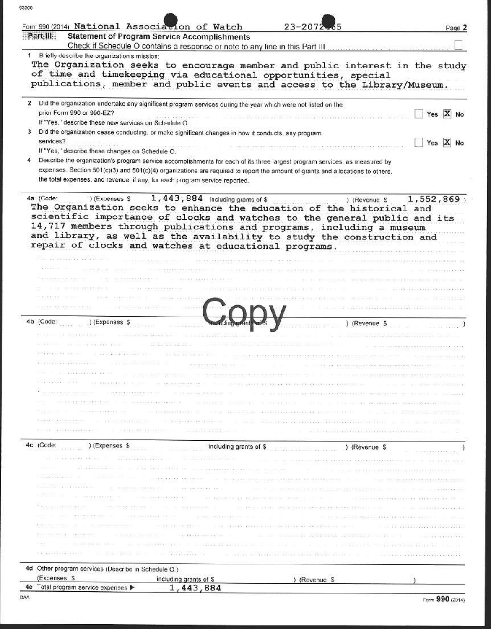| æ |    | 20 |   | m |  |
|---|----|----|---|---|--|
|   | ac |    | u |   |  |

| Form 990 (2014) National Association of Watch                                                                |                                                                                                                                                                                                                               | $23 - 2072$                                                                                                                                                                                                                                                                                                                                                                                                                                               | Page 2   |
|--------------------------------------------------------------------------------------------------------------|-------------------------------------------------------------------------------------------------------------------------------------------------------------------------------------------------------------------------------|-----------------------------------------------------------------------------------------------------------------------------------------------------------------------------------------------------------------------------------------------------------------------------------------------------------------------------------------------------------------------------------------------------------------------------------------------------------|----------|
| Part III                                                                                                     | <b>Statement of Program Service Accomplishments</b>                                                                                                                                                                           |                                                                                                                                                                                                                                                                                                                                                                                                                                                           |          |
| Briefly describe the organization's mission:                                                                 | Check if Schedule O contains a response or note to any line in this Part III                                                                                                                                                  |                                                                                                                                                                                                                                                                                                                                                                                                                                                           |          |
|                                                                                                              |                                                                                                                                                                                                                               | The Organization seeks to encourage member and public interest in the study                                                                                                                                                                                                                                                                                                                                                                               |          |
|                                                                                                              |                                                                                                                                                                                                                               | of time and timekeeping via educational opportunities, special                                                                                                                                                                                                                                                                                                                                                                                            |          |
|                                                                                                              |                                                                                                                                                                                                                               | publications, member and public events and access to the Library/Museum.                                                                                                                                                                                                                                                                                                                                                                                  |          |
| Did the organization undertake any significant program services during the year which were not listed on the |                                                                                                                                                                                                                               |                                                                                                                                                                                                                                                                                                                                                                                                                                                           |          |
| prior Form 990 or 990-EZ?                                                                                    |                                                                                                                                                                                                                               |                                                                                                                                                                                                                                                                                                                                                                                                                                                           | Yes X No |
| If "Yes," describe these new services on Schedule O.                                                         |                                                                                                                                                                                                                               |                                                                                                                                                                                                                                                                                                                                                                                                                                                           |          |
| Did the organization cease conducting, or make significant changes in how it conducts, any program           |                                                                                                                                                                                                                               |                                                                                                                                                                                                                                                                                                                                                                                                                                                           |          |
| services?                                                                                                    |                                                                                                                                                                                                                               |                                                                                                                                                                                                                                                                                                                                                                                                                                                           | Yes X No |
| If "Yes," describe these changes on Schedule O.                                                              |                                                                                                                                                                                                                               |                                                                                                                                                                                                                                                                                                                                                                                                                                                           |          |
|                                                                                                              |                                                                                                                                                                                                                               | Describe the organization's program service accomplishments for each of its three largest program services, as measured by<br>expenses. Section 501(c)(3) and 501(c)(4) organizations are required to report the amount of grants and allocations to others,                                                                                                                                                                                              |          |
| the total expenses, and revenue, if any, for each program service reported.                                  |                                                                                                                                                                                                                               |                                                                                                                                                                                                                                                                                                                                                                                                                                                           |          |
|                                                                                                              |                                                                                                                                                                                                                               |                                                                                                                                                                                                                                                                                                                                                                                                                                                           |          |
| repair of clocks and watches at educational programs.                                                        |                                                                                                                                                                                                                               | The Organization seeks to enhance the education of the historical and<br>scientific importance of clocks and watches to the general public and its<br>14,717 members through publications and programs, including a museum<br>and library, as well as the availability to study the construction and                                                                                                                                                      |          |
|                                                                                                              |                                                                                                                                                                                                                               |                                                                                                                                                                                                                                                                                                                                                                                                                                                           |          |
|                                                                                                              |                                                                                                                                                                                                                               |                                                                                                                                                                                                                                                                                                                                                                                                                                                           |          |
|                                                                                                              |                                                                                                                                                                                                                               | THE CONTRACTOR CONTRACTOR CONTRACTOR IN A 49 YO F.                                                                                                                                                                                                                                                                                                                                                                                                        |          |
|                                                                                                              |                                                                                                                                                                                                                               |                                                                                                                                                                                                                                                                                                                                                                                                                                                           |          |
|                                                                                                              |                                                                                                                                                                                                                               |                                                                                                                                                                                                                                                                                                                                                                                                                                                           |          |
| 4b (Code:<br>) (Expenses \$                                                                                  |                                                                                                                                                                                                                               | ) (Revenue \$                                                                                                                                                                                                                                                                                                                                                                                                                                             |          |
|                                                                                                              |                                                                                                                                                                                                                               |                                                                                                                                                                                                                                                                                                                                                                                                                                                           |          |
|                                                                                                              |                                                                                                                                                                                                                               |                                                                                                                                                                                                                                                                                                                                                                                                                                                           |          |
|                                                                                                              |                                                                                                                                                                                                                               |                                                                                                                                                                                                                                                                                                                                                                                                                                                           |          |
|                                                                                                              |                                                                                                                                                                                                                               |                                                                                                                                                                                                                                                                                                                                                                                                                                                           |          |
|                                                                                                              |                                                                                                                                                                                                                               | NOT REPORTED THE DUTCH ROTTED FOR A 45 YO F RELEASE THE STOLEN STATEGEORG CONTINUES AND DECISION OF CONSULTING                                                                                                                                                                                                                                                                                                                                            |          |
|                                                                                                              |                                                                                                                                                                                                                               | The continuous access that the continuous controls the continuous continuous continuous continuous continuous continuous continuous                                                                                                                                                                                                                                                                                                                       |          |
| <b>CONFIDENCIAL RESIDENCE</b>                                                                                |                                                                                                                                                                                                                               | THE REPORTED BY A REPORT OF A 24 YO F REPORTED AND CONSTRUCTION OF A RESIDENCE OF A REPORT OF A RESIDENCE                                                                                                                                                                                                                                                                                                                                                 |          |
|                                                                                                              |                                                                                                                                                                                                                               | C CONCORRENDO - OCRAINED BRANDING O PRINCIPAL DE LA INTELICIÓN DE ESTADO DE ESTADO DE ENTRE EN ENTRE EL EL ENTRE                                                                                                                                                                                                                                                                                                                                          |          |
|                                                                                                              |                                                                                                                                                                                                                               | TE REPRESENTATIVE TE TE TENE ANTIGIA ARTIFICIAL DE PROFESIONALE TENERE DE LA PERSONALE PROPERTIES.<br>the mail of the second and the programs of the consequence of the second                                                                                                                                                                                                                                                                            |          |
|                                                                                                              | the control of the Control of the Control of the Control of the Control of the Control of the Control of the Control of the Control of the Control of the Control of the Control of the Control of the Control of the Control |                                                                                                                                                                                                                                                                                                                                                                                                                                                           |          |
|                                                                                                              |                                                                                                                                                                                                                               |                                                                                                                                                                                                                                                                                                                                                                                                                                                           |          |
| 4c (Code: ) (Expenses \$                                                                                     |                                                                                                                                                                                                                               |                                                                                                                                                                                                                                                                                                                                                                                                                                                           |          |
|                                                                                                              |                                                                                                                                                                                                                               | including grants of \$ (Revenue \$                                                                                                                                                                                                                                                                                                                                                                                                                        |          |
|                                                                                                              |                                                                                                                                                                                                                               | $\label{eq:R1} \mathcal{L}^{\mathcal{L}}(\mathcal{L}^{\mathcal{L}}(\mathcal{L}^{\mathcal{L}}(\mathcal{L}^{\mathcal{L}}(\mathcal{L}^{\mathcal{L}}(\mathcal{L}^{\mathcal{L}}(\mathcal{L}^{\mathcal{L}}(\mathcal{L}^{\mathcal{L}}(\mathcal{L}^{\mathcal{L}}(\mathcal{L}^{\mathcal{L}}(\mathcal{L}^{\mathcal{L}}(\mathcal{L}^{\mathcal{L}}(\mathcal{L}^{\mathcal{L}}(\mathcal{L}^{\mathcal{L}}(\mathcal{L}^{\mathcal{L}}(\mathcal{L}^{\mathcal{L}}(\mathcal{$ |          |
|                                                                                                              |                                                                                                                                                                                                                               | .<br>I romanina balarra, re domenskodenaristička konstruktor i romog najviseriskom konstruktor                                                                                                                                                                                                                                                                                                                                                            |          |
| A STATE CONTINUES OF A REPORT                                                                                |                                                                                                                                                                                                                               | CONFIDENTIAL IN THE THE REPORT OF A REPORT OF A REPORT OF A REPORT OF A REPORT OF A REPORT OF A REPORT OF A REPORT OF A REPORT OF A REPORT OF A REPORT OF A REPORT OF A REPORT OF A REPORT OF A REPORT OF A REPORT OF A REPORT                                                                                                                                                                                                                            |          |
|                                                                                                              |                                                                                                                                                                                                                               | THE REPORTED THE REPORT OF A REPORT OF A 2000 FOR A 2000 FOR A 2000 FOR A 2000 FOR A 2000 FOR A 2000 FOR A 2000 FOR A 2000 FOR A 2000 FOR A 2000 FOR A 2000 FOR A 2000 FOR A 2000 FOR A 2000 FOR A 2000 FOR A 2000 FOR A 2000                                                                                                                                                                                                                             |          |
| <b>RESIDENCE REPORTED TO</b>                                                                                 |                                                                                                                                                                                                                               | CONCERTED TO AN ASSAULTED AND PRODUCTS AND CONSTRUCTION OF THE RELEASED OF A STRATEGIC PARTY.                                                                                                                                                                                                                                                                                                                                                             |          |
|                                                                                                              |                                                                                                                                                                                                                               |                                                                                                                                                                                                                                                                                                                                                                                                                                                           |          |
|                                                                                                              |                                                                                                                                                                                                                               | THE REPORT OF THE STREET CONTROL CONTROL CONTROL CONTROL CONTROL CONTROL CONTROL CONTROL CONTROL CONTROL CONTROL                                                                                                                                                                                                                                                                                                                                          |          |
|                                                                                                              | and the contribution and the contribution                                                                                                                                                                                     | the company of the company of the company of the company of the company of the company of the company of the company of the company of the company of the company of the company of the company of the company of the company                                                                                                                                                                                                                             |          |
|                                                                                                              | the contract of the contract of the contract of the                                                                                                                                                                           | The community of the community of the community of the community of the community of the community of the community of the community of the community of the community of the community of the community of the community of t                                                                                                                                                                                                                            |          |
| 4d Other program services (Describe in Schedule O.)                                                          |                                                                                                                                                                                                                               |                                                                                                                                                                                                                                                                                                                                                                                                                                                           |          |
| (Expenses \$<br>4e Total program service expenses                                                            | including grants of \$<br>1,443,884                                                                                                                                                                                           | ) (Revenue S                                                                                                                                                                                                                                                                                                                                                                                                                                              |          |

an i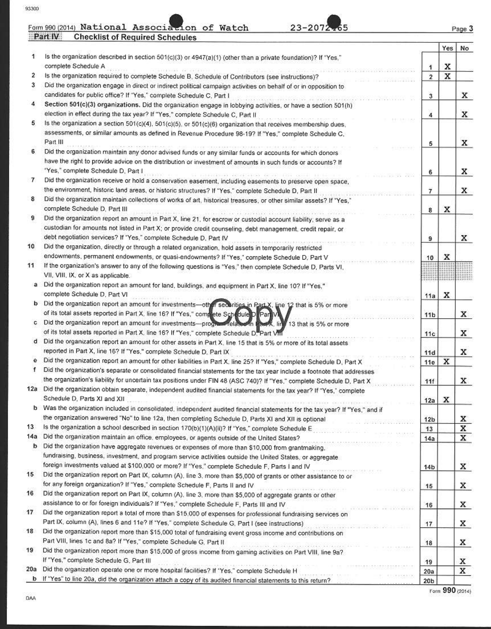93300

|     | Form 990 (2014) National Association of Watch<br>Part IV<br><b>Checklist of Required Schedules</b>                                                                                                                                                                                                                                                                                                                          |                 |     | Page 3 |
|-----|-----------------------------------------------------------------------------------------------------------------------------------------------------------------------------------------------------------------------------------------------------------------------------------------------------------------------------------------------------------------------------------------------------------------------------|-----------------|-----|--------|
|     |                                                                                                                                                                                                                                                                                                                                                                                                                             |                 | Yes | No     |
| 1   | Is the organization described in section 501(c)(3) or 4947(a)(1) (other than a private foundation)? If "Yes,"<br>complete Schedule A                                                                                                                                                                                                                                                                                        | 1               | x   |        |
| 2   | Is the organization required to complete Schedule B, Schedule of Contributors (see instructions)?                                                                                                                                                                                                                                                                                                                           | $\overline{2}$  | x   |        |
| 3   | Did the organization engage in direct or indirect political campaign activities on behalf of or in opposition to                                                                                                                                                                                                                                                                                                            |                 |     |        |
|     | candidates for public office? If "Yes," complete Schedule C, Part I                                                                                                                                                                                                                                                                                                                                                         | 3               |     | x      |
| 4   | Section 501(c)(3) organizations. Did the organization engage in lobbying activities, or have a section 501(h)<br>election in effect during the tax year? If "Yes," complete Schedule C, Part II                                                                                                                                                                                                                             |                 |     |        |
| 5   | Is the organization a section 501(c)(4), 501(c)(5), or 501(c)(6) organization that receives membership dues,                                                                                                                                                                                                                                                                                                                | 4               |     | x      |
|     | assessments, or similar amounts as defined in Revenue Procedure 98-19? If "Yes," complete Schedule C,                                                                                                                                                                                                                                                                                                                       |                 |     |        |
|     | Part III                                                                                                                                                                                                                                                                                                                                                                                                                    | 5               |     | x      |
| 6.  | Did the organization maintain any donor advised funds or any similar funds or accounts for which donors                                                                                                                                                                                                                                                                                                                     |                 |     |        |
|     | have the right to provide advice on the distribution or investment of amounts in such funds or accounts? If                                                                                                                                                                                                                                                                                                                 |                 |     |        |
|     | "Yes," complete Schedule D, Part I                                                                                                                                                                                                                                                                                                                                                                                          | 6               |     | x      |
| 7   | Did the organization receive or hold a conservation easement, including easements to preserve open space,                                                                                                                                                                                                                                                                                                                   |                 |     |        |
|     | the environment, historic land areas, or historic structures? If "Yes," complete Schedule D, Part II                                                                                                                                                                                                                                                                                                                        | $\overline{7}$  |     | X      |
| 8   | Did the organization maintain collections of works of art, historical treasures, or other similar assets? If "Yes,"<br>complete Schedule D, Part III                                                                                                                                                                                                                                                                        | 8               | x   |        |
| 9   | Did the organization report an amount in Part X, line 21, for escrow or custodial account liability; serve as a                                                                                                                                                                                                                                                                                                             |                 |     |        |
|     | custodian for amounts not listed in Part X; or provide credit counseling, debt management, credit repair, or                                                                                                                                                                                                                                                                                                                |                 |     |        |
|     | debt negotiation services? If "Yes," complete Schedule D, Part IV                                                                                                                                                                                                                                                                                                                                                           | 9               |     | x      |
| 10  | Did the organization, directly or through a related organization, hold assets in temporarily restricted                                                                                                                                                                                                                                                                                                                     |                 |     |        |
|     | endowments, permanent endowments, or quasi-endowments? If "Yes," complete Schedule D, Part V                                                                                                                                                                                                                                                                                                                                | 10              | X   |        |
| 11  | If the organization's answer to any of the following questions is "Yes," then complete Schedule D, Parts VI,<br>VII, VIII, IX, or X as applicable.                                                                                                                                                                                                                                                                          |                 |     |        |
| a   | Did the organization report an amount for land, buildings, and equipment in Part X, line 10? If "Yes,"                                                                                                                                                                                                                                                                                                                      |                 |     |        |
|     | complete Schedule D, Part VI                                                                                                                                                                                                                                                                                                                                                                                                | 11a             | x   |        |
|     | Did the organization report an amount for investments-other securities in Part X, line 12 that is 5% or more                                                                                                                                                                                                                                                                                                                |                 |     |        |
|     | of its total assets reported in Part X, line 16? If "Yes," complete Schedule D Part VII                                                                                                                                                                                                                                                                                                                                     | 11 <sub>b</sub> |     | X      |
| c   | Did the organization report an amount for investments-program related in Fact, line 13 that is 5% or more                                                                                                                                                                                                                                                                                                                   |                 |     |        |
|     | of its total assets reported in Part X, line 16? If "Yes," complete Schedule D. Part VIII                                                                                                                                                                                                                                                                                                                                   | 11c             |     | x      |
| đ   | Did the organization report an amount for other assets in Part X, line 15 that is 5% or more of its total assets                                                                                                                                                                                                                                                                                                            |                 |     |        |
|     | reported in Part X, line 16? If "Yes," complete Schedule D, Part IX                                                                                                                                                                                                                                                                                                                                                         | 11d             |     | x      |
|     | Did the organization report an amount for other liabilities in Part X. line 25? If "Yes," complete Schedule D, Part X                                                                                                                                                                                                                                                                                                       | 11e             | X   |        |
|     | Did the organization's separate or consolidated financial statements for the tax year include a footnote that addresses                                                                                                                                                                                                                                                                                                     |                 |     |        |
|     | the organization's liability for uncertain tax positions under FIN 48 (ASC 740)? If "Yes," complete Schedule D, Part X                                                                                                                                                                                                                                                                                                      | 11f             |     | x      |
|     | 12a Did the organization obtain separate, independent audited financial statements for the tax year? If "Yes," complete<br>Schedule D, Parts XI and XII                                                                                                                                                                                                                                                                     |                 |     |        |
|     | Christian FED in California (1990)<br>b Was the organization included in consolidated, independent audited financial statements for the tax year? If "Yes," and if                                                                                                                                                                                                                                                          | 12a             | x   |        |
|     | the organization answered "No" to line 12a, then completing Schedule D, Parts XI and XII is optional                                                                                                                                                                                                                                                                                                                        | 12 <sub>b</sub> |     | x      |
| 13  | Is the organization a school described in section 170(b)(1)(A)(ii)? If "Yes," complete Schedule E                                                                                                                                                                                                                                                                                                                           | 13              |     | x      |
| 14a | Did the organization maintain an office, employees, or agents outside of the United States?                                                                                                                                                                                                                                                                                                                                 | 14a             |     | x      |
| b   | Did the organization have aggregate revenues or expenses of more than \$10,000 from grantmaking.                                                                                                                                                                                                                                                                                                                            |                 |     |        |
|     | fundraising, business, investment, and program service activities outside the United States, or aggregate                                                                                                                                                                                                                                                                                                                   |                 |     |        |
|     | foreign investments valued at \$100,000 or more? If "Yes," complete Schedule F, Parts I and IV                                                                                                                                                                                                                                                                                                                              | 14 <sub>b</sub> |     | x      |
| 15  | Did the organization report on Part IX, column (A), line 3, more than \$5,000 of grants or other assistance to or                                                                                                                                                                                                                                                                                                           |                 |     |        |
|     | for any foreign organization? If "Yes," complete Schedule F, Parts II and IV<br>$\label{eq:1.1} (a_1 + a_2 + a_3 + a_4 + a_5) = (a_1 + a_2 + a_3 + a_4 + a_5 + a_6 + a_7 + a_8 + a_9 + a_9 + a_1 + a_2 + a_3 + a_4 + a_5 + a_6 + a_7 + a_9 + a_1 + a_2 + a_3 + a_4 + a_5 + a_1 + a_2 + a_3 + a_4 + a_5 + a_1 + a_2 + a_3 + a_4 + a_5 + a_6 + a_7 + a_1 + a_2 + a_3 + a_4 + a_5 + a_6 + a_7 + a_8 + a_9 + a_1 + a_2 + a_3 +$ | 15              |     | x      |
| 16  | Did the organization report on Part IX, column (A), line 3, more than \$5,000 of aggregate grants or other                                                                                                                                                                                                                                                                                                                  |                 |     |        |
|     | assistance to or for foreign individuals? If "Yes," complete Schedule F, Parts III and IV                                                                                                                                                                                                                                                                                                                                   | 16              |     | X      |
| 17  | Did the organization report a total of more than \$15,000 of expenses for professional fundraising services on                                                                                                                                                                                                                                                                                                              |                 |     |        |
| 18  | Part IX, column (A), lines 6 and 11e? If "Yes," complete Schedule G, Part I (see instructions)                                                                                                                                                                                                                                                                                                                              | 17              |     | x      |
|     | Did the organization report more than \$15,000 total of fundraising event gross income and contributions on<br>Part VIII, lines 1c and 8a? If "Yes," complete Schedule G, Part II                                                                                                                                                                                                                                           |                 |     |        |
| 19  | and the case that is a contract to contract the con-                                                                                                                                                                                                                                                                                                                                                                        | 18              |     | x      |
|     | Did the organization report more than \$15,000 of gross income from gaming activities on Part VIII, line 9a?<br>If "Yes," complete Schedule G, Part III                                                                                                                                                                                                                                                                     |                 |     |        |
| 20a | Did the organization operate one or more hospital facilities? If "Yes," complete Schedule H                                                                                                                                                                                                                                                                                                                                 | 19<br>20a       |     | x<br>X |
|     | b If "Yes" to line 20a, did the organization attach a copy of its audited financial statements to this return?                                                                                                                                                                                                                                                                                                              | 20 <sup>k</sup> |     |        |

Form 990 (2014)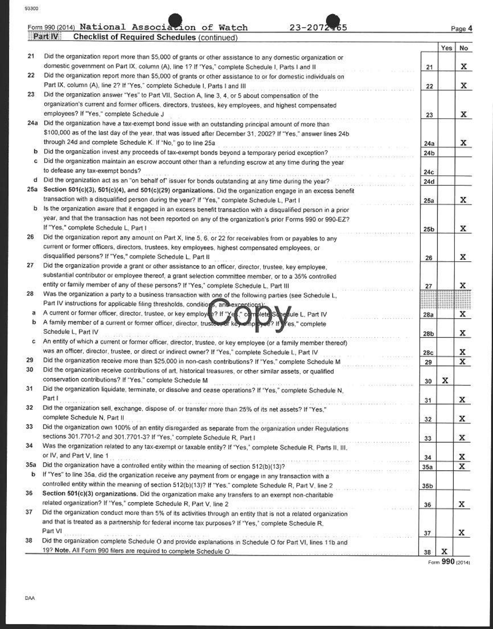|     | 23-2072-65<br>Form 990 (2014) National Association of Watch                                                                                                                                                                                                                                                                                                                                                                                                                     |                 |     | Page 4 |
|-----|---------------------------------------------------------------------------------------------------------------------------------------------------------------------------------------------------------------------------------------------------------------------------------------------------------------------------------------------------------------------------------------------------------------------------------------------------------------------------------|-----------------|-----|--------|
|     | Part IV<br><b>Checklist of Required Schedules (continued)</b>                                                                                                                                                                                                                                                                                                                                                                                                                   |                 | Yes |        |
| 21  | Did the organization report more than \$5,000 of grants or other assistance to any domestic organization or                                                                                                                                                                                                                                                                                                                                                                     |                 |     | No     |
|     | domestic government on Part IX, column (A), line 1? If "Yes," complete Schedule I, Parts I and II                                                                                                                                                                                                                                                                                                                                                                               | 21              |     | x      |
| 22  | Did the organization report more than \$5,000 of grants or other assistance to or for domestic individuals on                                                                                                                                                                                                                                                                                                                                                                   |                 |     |        |
|     | Part IX, column (A), line 2? If "Yes," complete Schedule I, Parts I and III                                                                                                                                                                                                                                                                                                                                                                                                     | 22              |     | x      |
| 23  | Did the organization answer "Yes" to Part VII, Section A, line 3, 4, or 5 about compensation of the                                                                                                                                                                                                                                                                                                                                                                             |                 |     |        |
|     | organization's current and former officers, directors, trustees, key employees, and highest compensated                                                                                                                                                                                                                                                                                                                                                                         |                 |     |        |
|     | employees? If "Yes," complete Schedule J                                                                                                                                                                                                                                                                                                                                                                                                                                        | 23              |     | x      |
|     | 24a Did the organization have a tax-exempt bond issue with an outstanding principal amount of more than                                                                                                                                                                                                                                                                                                                                                                         |                 |     |        |
|     | \$100,000 as of the last day of the year, that was issued after December 31, 2002? If "Yes," answer lines 24b                                                                                                                                                                                                                                                                                                                                                                   |                 |     |        |
|     | through 24d and complete Schedule K. If "No," go to line 25a                                                                                                                                                                                                                                                                                                                                                                                                                    | 24a             |     | x      |
|     | Did the organization invest any proceeds of tax-exempt bonds beyond a temporary period exception?                                                                                                                                                                                                                                                                                                                                                                               | 24 <sub>b</sub> |     |        |
| с   | Did the organization maintain an escrow account other than a refunding escrow at any time during the year                                                                                                                                                                                                                                                                                                                                                                       |                 |     |        |
|     | to defease any tax-exempt bonds?                                                                                                                                                                                                                                                                                                                                                                                                                                                |                 |     |        |
|     | Did the organization act as an "on behalf of" issuer for bonds outstanding at any time during the year?                                                                                                                                                                                                                                                                                                                                                                         | 24c             |     |        |
|     | 25a Section 501(c)(3), 501(c)(4), and 501(c)(29) organizations. Did the organization engage in an excess benefit                                                                                                                                                                                                                                                                                                                                                                | 24d             |     |        |
|     | transaction with a disqualified person during the year? If 'Yes," complete Schedule L, Part I                                                                                                                                                                                                                                                                                                                                                                                   |                 |     |        |
| b   | Is the organization aware that it engaged in an excess benefit transaction with a disqualified person in a prior                                                                                                                                                                                                                                                                                                                                                                | 25a             |     | x      |
|     |                                                                                                                                                                                                                                                                                                                                                                                                                                                                                 |                 |     |        |
|     | year, and that the transaction has not been reported on any of the organization's prior Forms 990 or 990-EZ?<br>If "Yes," complete Schedule L, Part I                                                                                                                                                                                                                                                                                                                           |                 |     |        |
| 26. |                                                                                                                                                                                                                                                                                                                                                                                                                                                                                 | 25 <sub>b</sub> |     | x      |
|     | Did the organization report any amount on Part X, line 5, 6, or 22 for receivables from or payables to any                                                                                                                                                                                                                                                                                                                                                                      |                 |     |        |
|     | current or former officers, directors, trustees, key employees, highest compensated employees, or                                                                                                                                                                                                                                                                                                                                                                               |                 |     |        |
|     | disqualified persons? If "Yes," complete Schedule L. Part II                                                                                                                                                                                                                                                                                                                                                                                                                    | 26              |     | x      |
| 27  | Did the organization provide a grant or other assistance to an officer, director, trustee, key employee,                                                                                                                                                                                                                                                                                                                                                                        |                 |     |        |
|     | substantial contributor or employee thereof, a grant selection committee member, or to a 35% controlled                                                                                                                                                                                                                                                                                                                                                                         |                 |     |        |
|     | entity or family member of any of these persons? If "Yes," complete Schedule L, Part III                                                                                                                                                                                                                                                                                                                                                                                        | 27              |     | x      |
| 28  | Was the organization a party to a business transaction with one of the following parties (see Schedule L,                                                                                                                                                                                                                                                                                                                                                                       |                 |     |        |
|     | Part IV instructions for applicable filing thresholds, conditions, and exceptions):                                                                                                                                                                                                                                                                                                                                                                                             |                 |     |        |
|     | A current or former officer, director, trustee, or key employee? If "Yes," completes to estule L, Part IV                                                                                                                                                                                                                                                                                                                                                                       | 28a             |     | x      |
| b   | A family member of a current or former officer, director, trustees or key omployee? If y'es," complete<br>Schedule L, Part IV                                                                                                                                                                                                                                                                                                                                                   |                 |     |        |
| с   | An entity of which a current or former officer, director, trustee, or key employee (or a family member thereof)                                                                                                                                                                                                                                                                                                                                                                 | 28 <sub>b</sub> |     | x      |
|     | was an officer, director, trustee, or direct or indirect owner? If "Yes," complete Schedule L, Part IV                                                                                                                                                                                                                                                                                                                                                                          |                 |     |        |
| 29  | Did the organization receive more than \$25,000 in non-cash contributions? If "Yes," complete Schedule M                                                                                                                                                                                                                                                                                                                                                                        | 28c             |     | x<br>X |
| 30  | Did the organization receive contributions of art, historical treasures, or other similar assets, or qualified                                                                                                                                                                                                                                                                                                                                                                  | 29              |     |        |
|     | conservation contributions? If "Yes," complete Schedule M                                                                                                                                                                                                                                                                                                                                                                                                                       |                 |     |        |
| 31  | RESERVED DESCRIPTION WERE CONTINUES ON THE RESIDENCE OF A PARTICULAR CONTINUES.<br>Did the organization liquidate, terminate, or dissolve and cease operations? If "Yes," complete Schedule N,                                                                                                                                                                                                                                                                                  | 30              | x   |        |
|     | Part I                                                                                                                                                                                                                                                                                                                                                                                                                                                                          | 31              |     | X      |
| 32  | Part is a construction sell, exchange, dispose of, or transfer more than 25% of its net assets? If "Yes,"                                                                                                                                                                                                                                                                                                                                                                       |                 |     |        |
|     | complete Schedule N, Part II                                                                                                                                                                                                                                                                                                                                                                                                                                                    | 32              |     | x      |
| 33  | THE REPORT OF THE REPORT OF THE REPORT OF THE REPORT OF THE REPORT OF THE REPORT OF THE REPORT OF THE REPORT OF THE REPORT OF THE REPORT OF THE REPORT OF THE REPORT OF THE REPORT OF THE REPORT OF THE REPORT OF THE REPORT O<br>Did the organization own 100% of an entity disregarded as separate from the organization under Regulations                                                                                                                                    |                 |     |        |
|     | sections 301.7701-2 and 301.7701-3? If "Yes," complete Schedule R, Part I                                                                                                                                                                                                                                                                                                                                                                                                       | 33              |     | X      |
| 34  | Was the organization related to any tax-exempt or taxable entity? If "Yes," complete Schedule R, Parts II, III.                                                                                                                                                                                                                                                                                                                                                                 |                 |     |        |
|     | or IV, and Part V, line 1                                                                                                                                                                                                                                                                                                                                                                                                                                                       |                 |     | x      |
| 35a | The distribution of the company of the second contract in the company of the company of the company of the company of the company of the company of the company of the company of the company of the company of the company of<br>Did the organization have a controlled entity within the meaning of section 512(b)(13)?                                                                                                                                                       | 34              |     | x      |
| b   | If "Yes" to line 35a, did the organization receive any payment from or engage in any transaction with a                                                                                                                                                                                                                                                                                                                                                                         | 35a             |     |        |
|     | controlled entity within the meaning of section 512(b)(13)? If "Yes," complete Schedule R, Part V, line 2                                                                                                                                                                                                                                                                                                                                                                       |                 |     |        |
| 36  | Section 501(c)(3) organizations. Did the organization make any transfers to an exempt non-charitable                                                                                                                                                                                                                                                                                                                                                                            | 35 <sub>b</sub> |     |        |
|     | related organization? If "Yes," complete Schedule R, Part V, line 2                                                                                                                                                                                                                                                                                                                                                                                                             |                 |     |        |
| 37  | CONSERVATION CONTRACTOR INTER-                                                                                                                                                                                                                                                                                                                                                                                                                                                  | 36              |     | x      |
|     | Did the organization conduct more than 5% of its activities through an entity that is not a related organization                                                                                                                                                                                                                                                                                                                                                                |                 |     |        |
|     | and that is treated as a partnership for federal income tax purposes? If "Yes," complete Schedule R.<br>Part VI                                                                                                                                                                                                                                                                                                                                                                 |                 |     |        |
| 38  | $\mathbb{E}[1] \times \mathbb{E}[1] \times \mathbb{E}[1] \times \mathbb{E}[1] \times \mathbb{E}[1] \times \mathbb{E}[1] \times \mathbb{E}[1] \times \mathbb{E}[1] \times \mathbb{E}[1] \times \mathbb{E}[1] \times \mathbb{E}[1] \times \mathbb{E}[1] \times \mathbb{E}[1] \times \mathbb{E}[1] \times \mathbb{E}[1] \times \mathbb{E}[1] \times \mathbb{E}[1] \times \mathbb{E}[1] \times \mathbb{E}[1] \times \mathbb{E}[1] \times \mathbb{E}[1] \times \mathbb{E}[1] \times$ | 37              |     | х      |
|     | Did the organization complete Schedule O and provide explanations in Schedule O for Part VI, lines 11b and                                                                                                                                                                                                                                                                                                                                                                      |                 |     |        |
|     | 19? Note. All Form 990 filers are required to complete Schedule O                                                                                                                                                                                                                                                                                                                                                                                                               | 38              | x   |        |

Form 990 (2014)